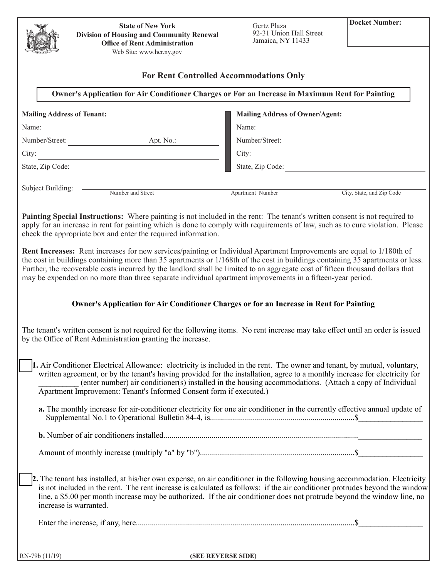| <b>State of New York</b><br><b>Division of Housing and Community Renewal</b><br><b>Office of Rent Administration</b><br>Web Site: www.hcr.ny.gov                                                                                                                                                                                                                                                                                                                                                                                                                                         | Gertz Plaza<br>92-31 Union Hall Street<br>Jamaica, NY 11433                                             | <b>Docket Number:</b>   |
|------------------------------------------------------------------------------------------------------------------------------------------------------------------------------------------------------------------------------------------------------------------------------------------------------------------------------------------------------------------------------------------------------------------------------------------------------------------------------------------------------------------------------------------------------------------------------------------|---------------------------------------------------------------------------------------------------------|-------------------------|
|                                                                                                                                                                                                                                                                                                                                                                                                                                                                                                                                                                                          |                                                                                                         |                         |
|                                                                                                                                                                                                                                                                                                                                                                                                                                                                                                                                                                                          | <b>For Rent Controlled Accommodations Only</b>                                                          |                         |
|                                                                                                                                                                                                                                                                                                                                                                                                                                                                                                                                                                                          | Owner's Application for Air Conditioner Charges or For an Increase in Maximum Rent for Painting         |                         |
| <b>Mailing Address of Tenant:</b>                                                                                                                                                                                                                                                                                                                                                                                                                                                                                                                                                        | <b>Mailing Address of Owner/Agent:</b>                                                                  |                         |
| Name:<br>Number/Street: <u>Apt. No.:</u>                                                                                                                                                                                                                                                                                                                                                                                                                                                                                                                                                 |                                                                                                         |                         |
|                                                                                                                                                                                                                                                                                                                                                                                                                                                                                                                                                                                          |                                                                                                         | Number/Street:<br>City: |
| $\frac{1}{\sqrt{1-\frac{1}{2}}\left(1-\frac{1}{2}\right)}$<br>City:                                                                                                                                                                                                                                                                                                                                                                                                                                                                                                                      |                                                                                                         |                         |
| State, Zip Code:                                                                                                                                                                                                                                                                                                                                                                                                                                                                                                                                                                         |                                                                                                         |                         |
| Subject Building: <u>Number and Street</u>                                                                                                                                                                                                                                                                                                                                                                                                                                                                                                                                               | Apartment Number<br>City, State, and Zip Code                                                           |                         |
| Painting Special Instructions: Where painting is not included in the rent: The tenant's written consent is not required to<br>apply for an increase in rent for painting which is done to comply with requirements of law, such as to cure violation. Please<br>check the appropriate box and enter the required information.<br>Rent Increases: Rent increases for new services/painting or Individual Apartment Improvements are equal to 1/180th of<br>the cost in buildings containing more than 35 apartments or 1/168th of the cost in buildings containing 35 apartments or less. |                                                                                                         |                         |
| Further, the recoverable costs incurred by the landlord shall be limited to an aggregate cost of fifteen thousand dollars that<br>may be expended on no more than three separate individual apartment improvements in a fifteen-year period.                                                                                                                                                                                                                                                                                                                                             |                                                                                                         |                         |
|                                                                                                                                                                                                                                                                                                                                                                                                                                                                                                                                                                                          | Owner's Application for Air Conditioner Charges or for an Increase in Rent for Painting                 |                         |
| The tenant's written consent is not required for the following items. No rent increase may take effect until an order is issued<br>by the Office of Rent Administration granting the increase.                                                                                                                                                                                                                                                                                                                                                                                           |                                                                                                         |                         |
| 1. Air Conditioner Electrical Allowance: electricity is included in the rent. The owner and tenant, by mutual, voluntary,<br>written agreement, or by the tenant's having provided for the installation, agree to a monthly increase for electricity for<br>Apartment Improvement: Tenant's Informed Consent form if executed.)                                                                                                                                                                                                                                                          | (enter number) air conditioner(s) installed in the housing accommodations. (Attach a copy of Individual |                         |
| a. The monthly increase for air-conditioner electricity for one air conditioner in the currently effective annual update of                                                                                                                                                                                                                                                                                                                                                                                                                                                              |                                                                                                         |                         |
|                                                                                                                                                                                                                                                                                                                                                                                                                                                                                                                                                                                          |                                                                                                         |                         |
|                                                                                                                                                                                                                                                                                                                                                                                                                                                                                                                                                                                          |                                                                                                         |                         |
| 2. The tenant has installed, at his/her own expense, an air conditioner in the following housing accommodation. Electricity<br>is not included in the rent. The rent increase is calculated as follows: if the air conditioner protrudes beyond the window<br>line, a \$5.00 per month increase may be authorized. If the air conditioner does not protrude beyond the window line, no<br>increase is warranted.                                                                                                                                                                         |                                                                                                         |                         |
|                                                                                                                                                                                                                                                                                                                                                                                                                                                                                                                                                                                          |                                                                                                         |                         |
| $RN-79b(11/19)$                                                                                                                                                                                                                                                                                                                                                                                                                                                                                                                                                                          | (SEE REVERSE SIDE)                                                                                      |                         |